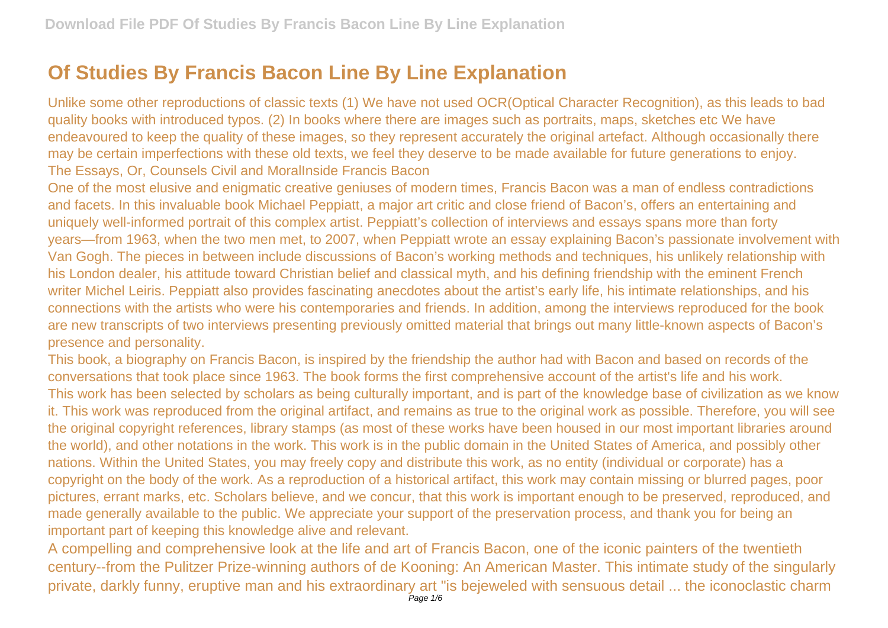## **Of Studies By Francis Bacon Line By Line Explanation**

Unlike some other reproductions of classic texts (1) We have not used OCR(Optical Character Recognition), as this leads to bad quality books with introduced typos. (2) In books where there are images such as portraits, maps, sketches etc We have endeavoured to keep the quality of these images, so they represent accurately the original artefact. Although occasionally there may be certain imperfections with these old texts, we feel they deserve to be made available for future generations to enjoy. The Essays, Or, Counsels Civil and MoralInside Francis Bacon

One of the most elusive and enigmatic creative geniuses of modern times, Francis Bacon was a man of endless contradictions and facets. In this invaluable book Michael Peppiatt, a major art critic and close friend of Bacon's, offers an entertaining and uniquely well-informed portrait of this complex artist. Peppiatt's collection of interviews and essays spans more than forty years—from 1963, when the two men met, to 2007, when Peppiatt wrote an essay explaining Bacon's passionate involvement with Van Gogh. The pieces in between include discussions of Bacon's working methods and techniques, his unlikely relationship with his London dealer, his attitude toward Christian belief and classical myth, and his defining friendship with the eminent French writer Michel Leiris. Peppiatt also provides fascinating anecdotes about the artist's early life, his intimate relationships, and his connections with the artists who were his contemporaries and friends. In addition, among the interviews reproduced for the book are new transcripts of two interviews presenting previously omitted material that brings out many little-known aspects of Bacon's presence and personality.

This book, a biography on Francis Bacon, is inspired by the friendship the author had with Bacon and based on records of the conversations that took place since 1963. The book forms the first comprehensive account of the artist's life and his work. This work has been selected by scholars as being culturally important, and is part of the knowledge base of civilization as we know it. This work was reproduced from the original artifact, and remains as true to the original work as possible. Therefore, you will see the original copyright references, library stamps (as most of these works have been housed in our most important libraries around the world), and other notations in the work. This work is in the public domain in the United States of America, and possibly other nations. Within the United States, you may freely copy and distribute this work, as no entity (individual or corporate) has a copyright on the body of the work. As a reproduction of a historical artifact, this work may contain missing or blurred pages, poor pictures, errant marks, etc. Scholars believe, and we concur, that this work is important enough to be preserved, reproduced, and made generally available to the public. We appreciate your support of the preservation process, and thank you for being an important part of keeping this knowledge alive and relevant.

A compelling and comprehensive look at the life and art of Francis Bacon, one of the iconic painters of the twentieth century--from the Pulitzer Prize-winning authors of de Kooning: An American Master. This intimate study of the singularly private, darkly funny, eruptive man and his extraordinary art "is bejeweled with sensuous detail ... the iconoclastic charm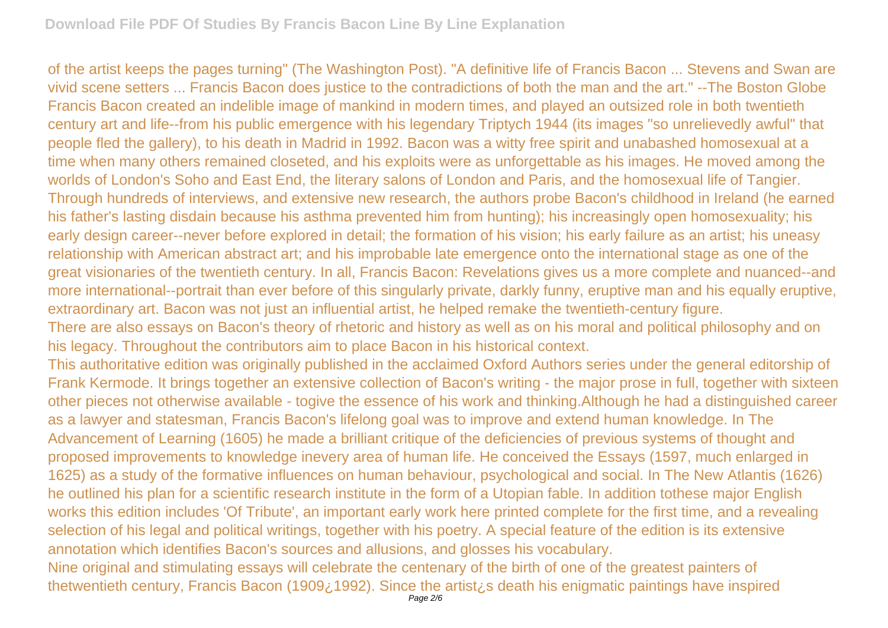of the artist keeps the pages turning" (The Washington Post). "A definitive life of Francis Bacon ... Stevens and Swan are vivid scene setters ... Francis Bacon does justice to the contradictions of both the man and the art." --The Boston Globe Francis Bacon created an indelible image of mankind in modern times, and played an outsized role in both twentieth century art and life--from his public emergence with his legendary Triptych 1944 (its images "so unrelievedly awful" that people fled the gallery), to his death in Madrid in 1992. Bacon was a witty free spirit and unabashed homosexual at a time when many others remained closeted, and his exploits were as unforgettable as his images. He moved among the worlds of London's Soho and East End, the literary salons of London and Paris, and the homosexual life of Tangier. Through hundreds of interviews, and extensive new research, the authors probe Bacon's childhood in Ireland (he earned his father's lasting disdain because his asthma prevented him from hunting); his increasingly open homosexuality; his early design career--never before explored in detail; the formation of his vision; his early failure as an artist; his uneasy relationship with American abstract art; and his improbable late emergence onto the international stage as one of the great visionaries of the twentieth century. In all, Francis Bacon: Revelations gives us a more complete and nuanced--and more international--portrait than ever before of this singularly private, darkly funny, eruptive man and his equally eruptive, extraordinary art. Bacon was not just an influential artist, he helped remake the twentieth-century figure.

There are also essays on Bacon's theory of rhetoric and history as well as on his moral and political philosophy and on his legacy. Throughout the contributors aim to place Bacon in his historical context.

This authoritative edition was originally published in the acclaimed Oxford Authors series under the general editorship of Frank Kermode. It brings together an extensive collection of Bacon's writing - the major prose in full, together with sixteen other pieces not otherwise available - togive the essence of his work and thinking.Although he had a distinguished career as a lawyer and statesman, Francis Bacon's lifelong goal was to improve and extend human knowledge. In The Advancement of Learning (1605) he made a brilliant critique of the deficiencies of previous systems of thought and proposed improvements to knowledge inevery area of human life. He conceived the Essays (1597, much enlarged in 1625) as a study of the formative influences on human behaviour, psychological and social. In The New Atlantis (1626) he outlined his plan for a scientific research institute in the form of a Utopian fable. In addition tothese major English works this edition includes 'Of Tribute', an important early work here printed complete for the first time, and a revealing selection of his legal and political writings, together with his poetry. A special feature of the edition is its extensive annotation which identifies Bacon's sources and allusions, and glosses his vocabulary.

Nine original and stimulating essays will celebrate the centenary of the birth of one of the greatest painters of thetwentieth century, Francis Bacon (1909¿1992). Since the artist¿s death his enigmatic paintings have inspired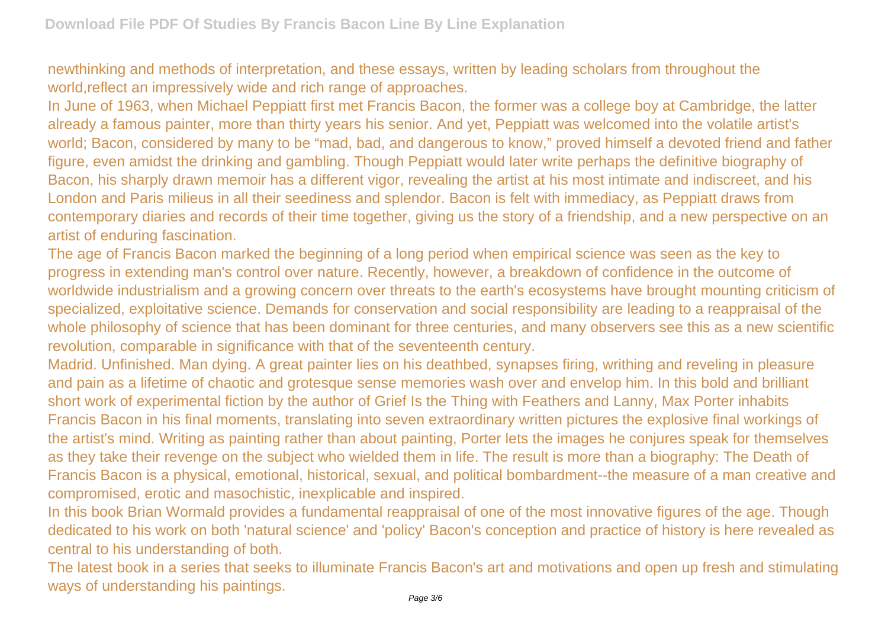newthinking and methods of interpretation, and these essays, written by leading scholars from throughout the world,reflect an impressively wide and rich range of approaches.

In June of 1963, when Michael Peppiatt first met Francis Bacon, the former was a college boy at Cambridge, the latter already a famous painter, more than thirty years his senior. And yet, Peppiatt was welcomed into the volatile artist's world; Bacon, considered by many to be "mad, bad, and dangerous to know," proved himself a devoted friend and father figure, even amidst the drinking and gambling. Though Peppiatt would later write perhaps the definitive biography of Bacon, his sharply drawn memoir has a different vigor, revealing the artist at his most intimate and indiscreet, and his London and Paris milieus in all their seediness and splendor. Bacon is felt with immediacy, as Peppiatt draws from contemporary diaries and records of their time together, giving us the story of a friendship, and a new perspective on an artist of enduring fascination.

The age of Francis Bacon marked the beginning of a long period when empirical science was seen as the key to progress in extending man's control over nature. Recently, however, a breakdown of confidence in the outcome of worldwide industrialism and a growing concern over threats to the earth's ecosystems have brought mounting criticism of specialized, exploitative science. Demands for conservation and social responsibility are leading to a reappraisal of the whole philosophy of science that has been dominant for three centuries, and many observers see this as a new scientific revolution, comparable in significance with that of the seventeenth century.

Madrid. Unfinished. Man dying. A great painter lies on his deathbed, synapses firing, writhing and reveling in pleasure and pain as a lifetime of chaotic and grotesque sense memories wash over and envelop him. In this bold and brilliant short work of experimental fiction by the author of Grief Is the Thing with Feathers and Lanny, Max Porter inhabits Francis Bacon in his final moments, translating into seven extraordinary written pictures the explosive final workings of the artist's mind. Writing as painting rather than about painting, Porter lets the images he conjures speak for themselves as they take their revenge on the subject who wielded them in life. The result is more than a biography: The Death of Francis Bacon is a physical, emotional, historical, sexual, and political bombardment--the measure of a man creative and compromised, erotic and masochistic, inexplicable and inspired.

In this book Brian Wormald provides a fundamental reappraisal of one of the most innovative figures of the age. Though dedicated to his work on both 'natural science' and 'policy' Bacon's conception and practice of history is here revealed as central to his understanding of both.

The latest book in a series that seeks to illuminate Francis Bacon's art and motivations and open up fresh and stimulating ways of understanding his paintings.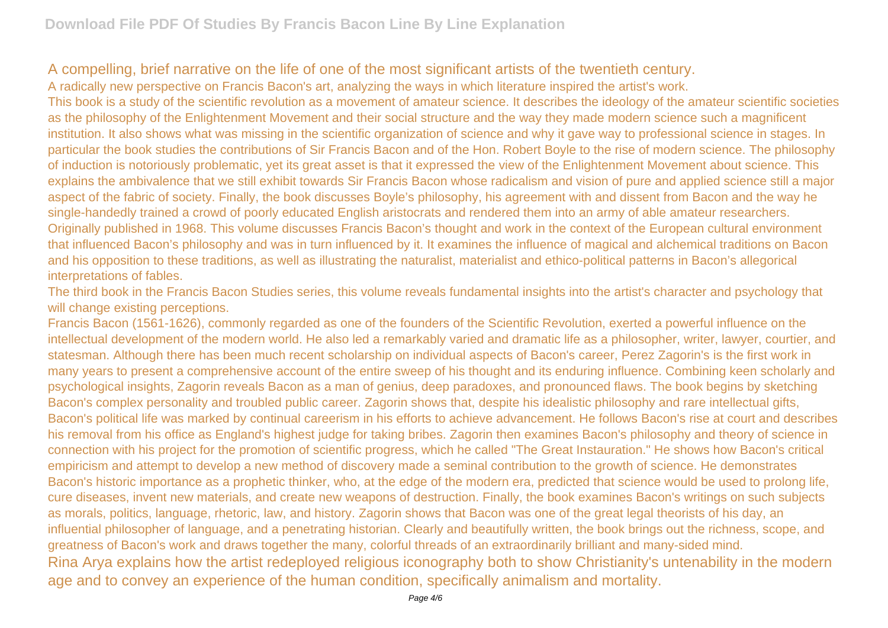## A compelling, brief narrative on the life of one of the most significant artists of the twentieth century.

A radically new perspective on Francis Bacon's art, analyzing the ways in which literature inspired the artist's work.

This book is a study of the scientific revolution as a movement of amateur science. It describes the ideology of the amateur scientific societies as the philosophy of the Enlightenment Movement and their social structure and the way they made modern science such a magnificent institution. It also shows what was missing in the scientific organization of science and why it gave way to professional science in stages. In particular the book studies the contributions of Sir Francis Bacon and of the Hon. Robert Boyle to the rise of modern science. The philosophy of induction is notoriously problematic, yet its great asset is that it expressed the view of the Enlightenment Movement about science. This explains the ambivalence that we still exhibit towards Sir Francis Bacon whose radicalism and vision of pure and applied science still a major aspect of the fabric of society. Finally, the book discusses Boyle's philosophy, his agreement with and dissent from Bacon and the way he single-handedly trained a crowd of poorly educated English aristocrats and rendered them into an army of able amateur researchers. Originally published in 1968. This volume discusses Francis Bacon's thought and work in the context of the European cultural environment that influenced Bacon's philosophy and was in turn influenced by it. It examines the influence of magical and alchemical traditions on Bacon and his opposition to these traditions, as well as illustrating the naturalist, materialist and ethico-political patterns in Bacon's allegorical interpretations of fables.

The third book in the Francis Bacon Studies series, this volume reveals fundamental insights into the artist's character and psychology that will change existing perceptions.

Francis Bacon (1561-1626), commonly regarded as one of the founders of the Scientific Revolution, exerted a powerful influence on the intellectual development of the modern world. He also led a remarkably varied and dramatic life as a philosopher, writer, lawyer, courtier, and statesman. Although there has been much recent scholarship on individual aspects of Bacon's career, Perez Zagorin's is the first work in many years to present a comprehensive account of the entire sweep of his thought and its enduring influence. Combining keen scholarly and psychological insights, Zagorin reveals Bacon as a man of genius, deep paradoxes, and pronounced flaws. The book begins by sketching Bacon's complex personality and troubled public career. Zagorin shows that, despite his idealistic philosophy and rare intellectual gifts, Bacon's political life was marked by continual careerism in his efforts to achieve advancement. He follows Bacon's rise at court and describes his removal from his office as England's highest judge for taking bribes. Zagorin then examines Bacon's philosophy and theory of science in connection with his project for the promotion of scientific progress, which he called "The Great Instauration." He shows how Bacon's critical empiricism and attempt to develop a new method of discovery made a seminal contribution to the growth of science. He demonstrates Bacon's historic importance as a prophetic thinker, who, at the edge of the modern era, predicted that science would be used to prolong life, cure diseases, invent new materials, and create new weapons of destruction. Finally, the book examines Bacon's writings on such subjects as morals, politics, language, rhetoric, law, and history. Zagorin shows that Bacon was one of the great legal theorists of his day, an influential philosopher of language, and a penetrating historian. Clearly and beautifully written, the book brings out the richness, scope, and greatness of Bacon's work and draws together the many, colorful threads of an extraordinarily brilliant and many-sided mind. Rina Arya explains how the artist redeployed religious iconography both to show Christianity's untenability in the modern age and to convey an experience of the human condition, specifically animalism and mortality.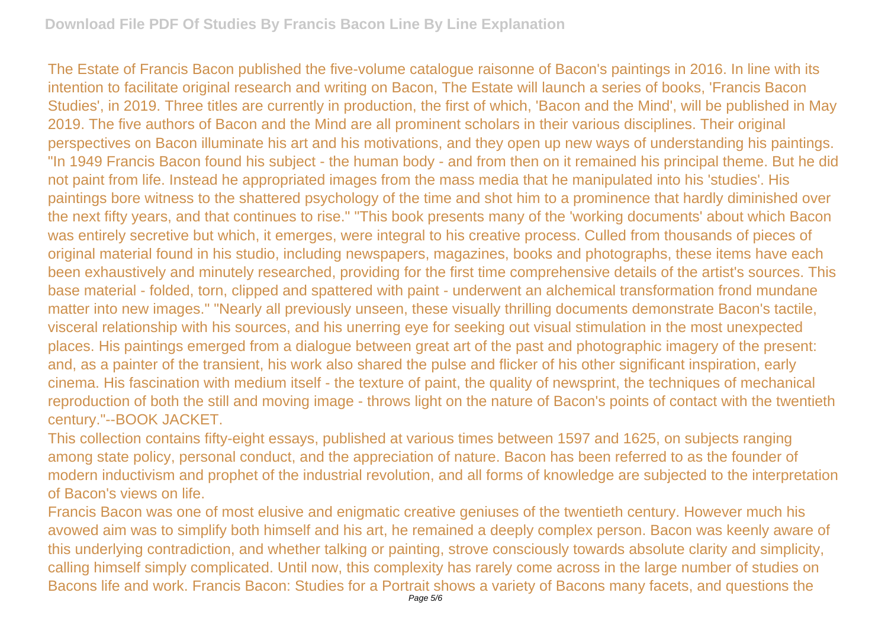The Estate of Francis Bacon published the five-volume catalogue raisonne of Bacon's paintings in 2016. In line with its intention to facilitate original research and writing on Bacon, The Estate will launch a series of books, 'Francis Bacon Studies', in 2019. Three titles are currently in production, the first of which, 'Bacon and the Mind', will be published in May 2019. The five authors of Bacon and the Mind are all prominent scholars in their various disciplines. Their original perspectives on Bacon illuminate his art and his motivations, and they open up new ways of understanding his paintings. "In 1949 Francis Bacon found his subject - the human body - and from then on it remained his principal theme. But he did not paint from life. Instead he appropriated images from the mass media that he manipulated into his 'studies'. His paintings bore witness to the shattered psychology of the time and shot him to a prominence that hardly diminished over the next fifty years, and that continues to rise." "This book presents many of the 'working documents' about which Bacon was entirely secretive but which, it emerges, were integral to his creative process. Culled from thousands of pieces of original material found in his studio, including newspapers, magazines, books and photographs, these items have each been exhaustively and minutely researched, providing for the first time comprehensive details of the artist's sources. This base material - folded, torn, clipped and spattered with paint - underwent an alchemical transformation frond mundane matter into new images." "Nearly all previously unseen, these visually thrilling documents demonstrate Bacon's tactile, visceral relationship with his sources, and his unerring eye for seeking out visual stimulation in the most unexpected places. His paintings emerged from a dialogue between great art of the past and photographic imagery of the present: and, as a painter of the transient, his work also shared the pulse and flicker of his other significant inspiration, early cinema. His fascination with medium itself - the texture of paint, the quality of newsprint, the techniques of mechanical reproduction of both the still and moving image - throws light on the nature of Bacon's points of contact with the twentieth century."--BOOK JACKET.

This collection contains fifty-eight essays, published at various times between 1597 and 1625, on subjects ranging among state policy, personal conduct, and the appreciation of nature. Bacon has been referred to as the founder of modern inductivism and prophet of the industrial revolution, and all forms of knowledge are subjected to the interpretation of Bacon's views on life.

Francis Bacon was one of most elusive and enigmatic creative geniuses of the twentieth century. However much his avowed aim was to simplify both himself and his art, he remained a deeply complex person. Bacon was keenly aware of this underlying contradiction, and whether talking or painting, strove consciously towards absolute clarity and simplicity, calling himself simply complicated. Until now, this complexity has rarely come across in the large number of studies on Bacons life and work. Francis Bacon: Studies for a Portrait shows a variety of Bacons many facets, and questions the